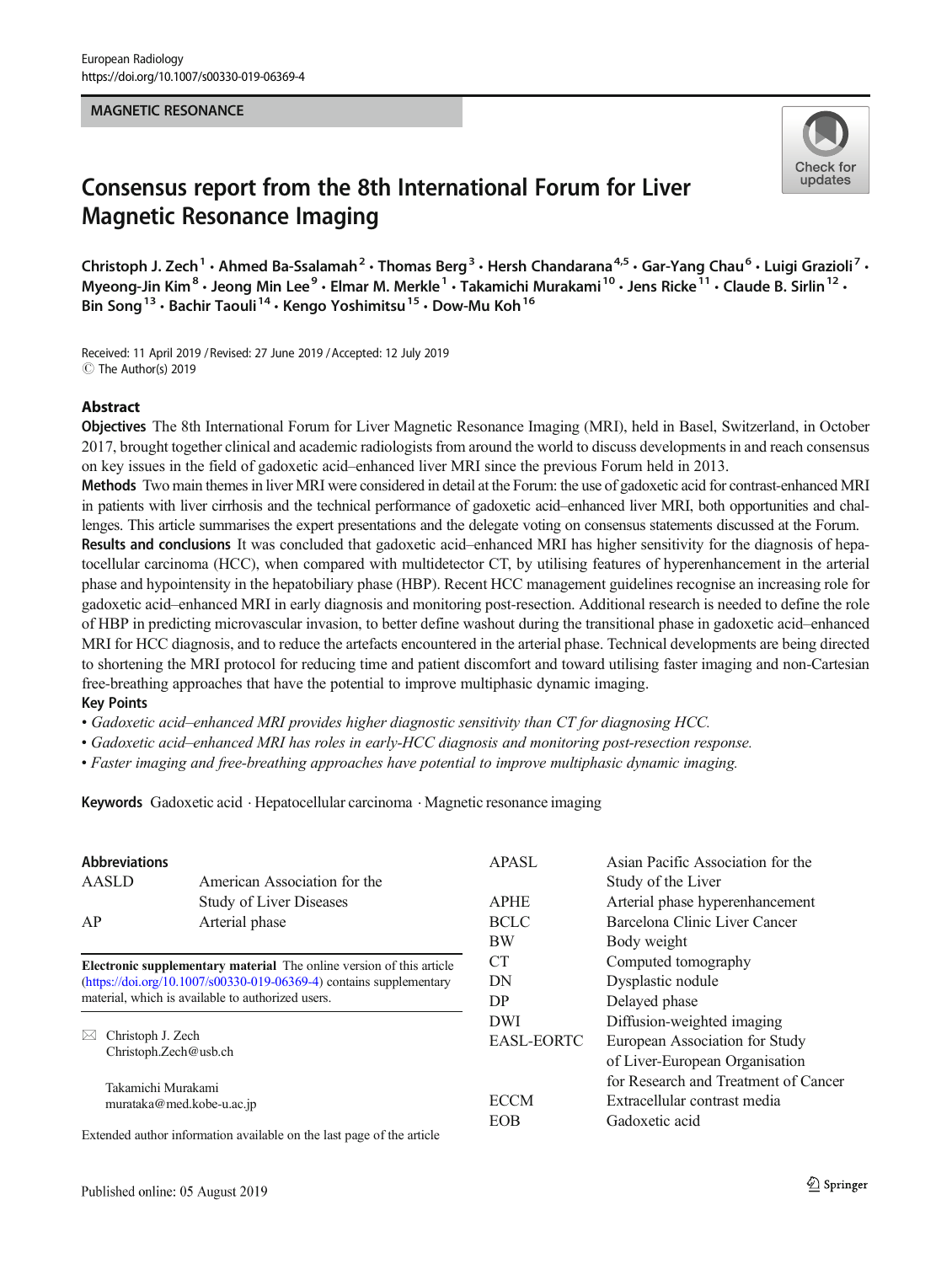#### MAGNETIC RESONANCE



# Consensus report from the 8th International Forum for Liver Magnetic Resonance Imaging

Christoph J. Zech<sup>1</sup> • Ahmed Ba-Ssalamah<sup>2</sup> • Thomas Berg<sup>3</sup> • Hersh Chandarana<sup>4,5</sup> • Gar-Yang Chau<sup>6</sup> • Luigi Grazioli<sup>7</sup> • Myeong-Jin Kim<sup>8</sup> · Jeong Min Lee<sup>9</sup> · Elmar M. Merkle<sup>1</sup> · Takamichi Murakami<sup>10</sup> · Jens Ricke<sup>11</sup> · Claude B. Sirlin<sup>12</sup> · Bin Song<sup>13</sup> · Bachir Taouli<sup>14</sup> · Kengo Yoshimitsu<sup>15</sup> · Dow-Mu Koh<sup>16</sup>

Received: 11 April 2019 / Revised: 27 June 2019 /Accepted: 12 July 2019  $\circledcirc$  The Author(s) 2019

#### Abstract

Objectives The 8th International Forum for Liver Magnetic Resonance Imaging (MRI), held in Basel, Switzerland, in October 2017, brought together clinical and academic radiologists from around the world to discuss developments in and reach consensus on key issues in the field of gadoxetic acid–enhanced liver MRI since the previous Forum held in 2013.

Methods Two main themes in liver MRI were considered in detail at the Forum: the use of gadoxetic acid for contrast-enhanced MRI in patients with liver cirrhosis and the technical performance of gadoxetic acid–enhanced liver MRI, both opportunities and challenges. This article summarises the expert presentations and the delegate voting on consensus statements discussed at the Forum.

Results and conclusions It was concluded that gadoxetic acid–enhanced MRI has higher sensitivity for the diagnosis of hepatocellular carcinoma (HCC), when compared with multidetector CT, by utilising features of hyperenhancement in the arterial phase and hypointensity in the hepatobiliary phase (HBP). Recent HCC management guidelines recognise an increasing role for gadoxetic acid–enhanced MRI in early diagnosis and monitoring post-resection. Additional research is needed to define the role of HBP in predicting microvascular invasion, to better define washout during the transitional phase in gadoxetic acid–enhanced MRI for HCC diagnosis, and to reduce the artefacts encountered in the arterial phase. Technical developments are being directed to shortening the MRI protocol for reducing time and patient discomfort and toward utilising faster imaging and non-Cartesian free-breathing approaches that have the potential to improve multiphasic dynamic imaging.

#### Key Points

• Gadoxetic acid–enhanced MRI provides higher diagnostic sensitivity than CT for diagnosing HCC.

• Gadoxetic acid–enhanced MRI has roles in early-HCC diagnosis and monitoring post-resection response.

• Faster imaging and free-breathing approaches have potential to improve multiphasic dynamic imaging.

Keywords Gadoxetic acid . Hepatocellular carcinoma . Magnetic resonance imaging

| <b>Abbreviations</b>           |                                                                                                                                                                                                                  |
|--------------------------------|------------------------------------------------------------------------------------------------------------------------------------------------------------------------------------------------------------------|
| AASLD                          | American Association for the                                                                                                                                                                                     |
|                                | <b>Study of Liver Diseases</b>                                                                                                                                                                                   |
| AP                             | Arterial phase                                                                                                                                                                                                   |
|                                | <b>Electronic supplementary material</b> The online version of this article<br>$(\text{https://doi.org/10.1007/s00330-019-06369-4})$ contains supplementary<br>material, which is available to authorized users. |
| Christoph J. Zech<br>$\bowtie$ |                                                                                                                                                                                                                  |
|                                | Christoph.Zech@usb.ch                                                                                                                                                                                            |
| Takamichi Murakami             |                                                                                                                                                                                                                  |
|                                | murataka@med.kobe-u.ac.jp                                                                                                                                                                                        |

APASL Asian Pacific Association for the Study of the Liver APHE Arterial phase hyperenhancement BCLC Barcelona Clinic Liver Cancer BW Body weight CT Computed tomography DN Dysplastic nodule DP Delayed phase DWI Diffusion-weighted imaging EASL-EORTC European Association for Study of Liver-European Organisation for Research and Treatment of Cancer ECCM Extracellular contrast media EOB Gadoxetic acid

Extended author information available on the last page of the article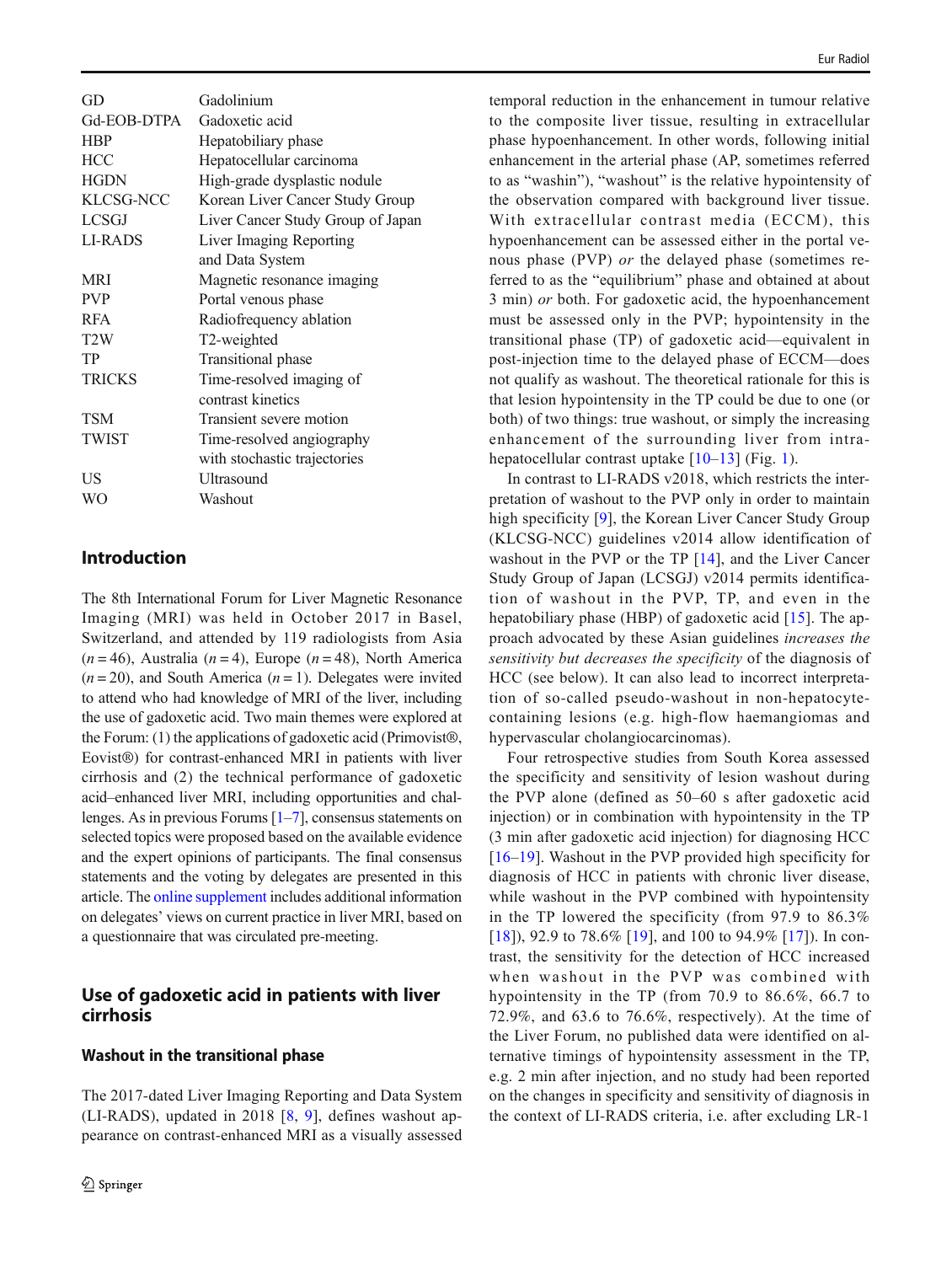| GD               | Gadolinium                        |
|------------------|-----------------------------------|
| Gd-EOB-DTPA      | Gadoxetic acid                    |
| <b>HBP</b>       | Hepatobiliary phase               |
| <b>HCC</b>       | Hepatocellular carcinoma          |
| <b>HGDN</b>      | High-grade dysplastic nodule      |
| <b>KLCSG-NCC</b> | Korean Liver Cancer Study Group   |
| <b>LCSGJ</b>     | Liver Cancer Study Group of Japan |
| LI-RADS          | Liver Imaging Reporting           |
|                  | and Data System                   |
| <b>MRI</b>       | Magnetic resonance imaging        |
| <b>PVP</b>       | Portal venous phase               |
| <b>RFA</b>       | Radiofrequency ablation           |
| T <sub>2</sub> W | T2-weighted                       |
| TP               | <b>Transitional phase</b>         |
| <b>TRICKS</b>    | Time-resolved imaging of          |
|                  | contrast kinetics                 |
| <b>TSM</b>       | Transient severe motion           |
| <b>TWIST</b>     | Time-resolved angiography         |
|                  | with stochastic trajectories      |
| US               | Ultrasound                        |
| WО               | Washout                           |
|                  |                                   |

## Introduction

The 8th International Forum for Liver Magnetic Resonance Imaging (MRI) was held in October 2017 in Basel, Switzerland, and attended by 119 radiologists from Asia  $(n = 46)$ , Australia  $(n = 4)$ , Europe  $(n = 48)$ , North America  $(n = 20)$ , and South America  $(n = 1)$ . Delegates were invited to attend who had knowledge of MRI of the liver, including the use of gadoxetic acid. Two main themes were explored at the Forum: (1) the applications of gadoxetic acid (Primovist®, Eovist®) for contrast-enhanced MRI in patients with liver cirrhosis and (2) the technical performance of gadoxetic acid–enhanced liver MRI, including opportunities and challenges. As in previous Forums [[1](#page-9-0)–[7\]](#page-9-0), consensus statements on selected topics were proposed based on the available evidence and the expert opinions of participants. The final consensus statements and the voting by delegates are presented in this article. The online supplement includes additional information on delegates' views on current practice in liver MRI, based on a questionnaire that was circulated pre-meeting.

## Use of gadoxetic acid in patients with liver cirrhosis

#### Washout in the transitional phase

The 2017-dated Liver Imaging Reporting and Data System (LI-RADS), updated in 2018 [\[8](#page-9-0), [9\]](#page-9-0), defines washout appearance on contrast-enhanced MRI as a visually assessed temporal reduction in the enhancement in tumour relative to the composite liver tissue, resulting in extracellular phase hypoenhancement. In other words, following initial enhancement in the arterial phase (AP, sometimes referred to as "washin"), "washout" is the relative hypointensity of the observation compared with background liver tissue. With extracellular contrast media (ECCM), this hypoenhancement can be assessed either in the portal venous phase (PVP) or the delayed phase (sometimes referred to as the "equilibrium" phase and obtained at about 3 min) or both. For gadoxetic acid, the hypoenhancement must be assessed only in the PVP; hypointensity in the transitional phase (TP) of gadoxetic acid—equivalent in post-injection time to the delayed phase of ECCM—does not qualify as washout. The theoretical rationale for this is that lesion hypointensity in the TP could be due to one (or both) of two things: true washout, or simply the increasing enhancement of the surrounding liver from intrahepatocellular contrast uptake  $[10-13]$  $[10-13]$  $[10-13]$  $[10-13]$  $[10-13]$  (Fig. [1\)](#page-2-0).

In contrast to LI-RADS v2018, which restricts the interpretation of washout to the PVP only in order to maintain high specificity [[9](#page-9-0)], the Korean Liver Cancer Study Group (KLCSG-NCC) guidelines v2014 allow identification of washout in the PVP or the TP [[14\]](#page-9-0), and the Liver Cancer Study Group of Japan (LCSGJ) v2014 permits identification of washout in the PVP, TP, and even in the hepatobiliary phase (HBP) of gadoxetic acid [[15](#page-9-0)]. The approach advocated by these Asian guidelines increases the sensitivity but decreases the specificity of the diagnosis of HCC (see below). It can also lead to incorrect interpretation of so-called pseudo-washout in non-hepatocytecontaining lesions (e.g. high-flow haemangiomas and hypervascular cholangiocarcinomas).

Four retrospective studies from South Korea assessed the specificity and sensitivity of lesion washout during the PVP alone (defined as 50–60 s after gadoxetic acid injection) or in combination with hypointensity in the TP (3 min after gadoxetic acid injection) for diagnosing HCC [\[16](#page-9-0)–[19\]](#page-9-0). Washout in the PVP provided high specificity for diagnosis of HCC in patients with chronic liver disease, while washout in the PVP combined with hypointensity in the TP lowered the specificity (from 97.9 to 86.3% [\[18\]](#page-9-0)), 92.9 to 78.6% [\[19\]](#page-9-0), and 100 to 94.9% [[17](#page-9-0)]). In contrast, the sensitivity for the detection of HCC increased when washout in the PVP was combined with hypointensity in the TP (from 70.9 to 86.6%, 66.7 to 72.9%, and 63.6 to 76.6%, respectively). At the time of the Liver Forum, no published data were identified on alternative timings of hypointensity assessment in the TP, e.g. 2 min after injection, and no study had been reported on the changes in specificity and sensitivity of diagnosis in the context of LI-RADS criteria, i.e. after excluding LR-1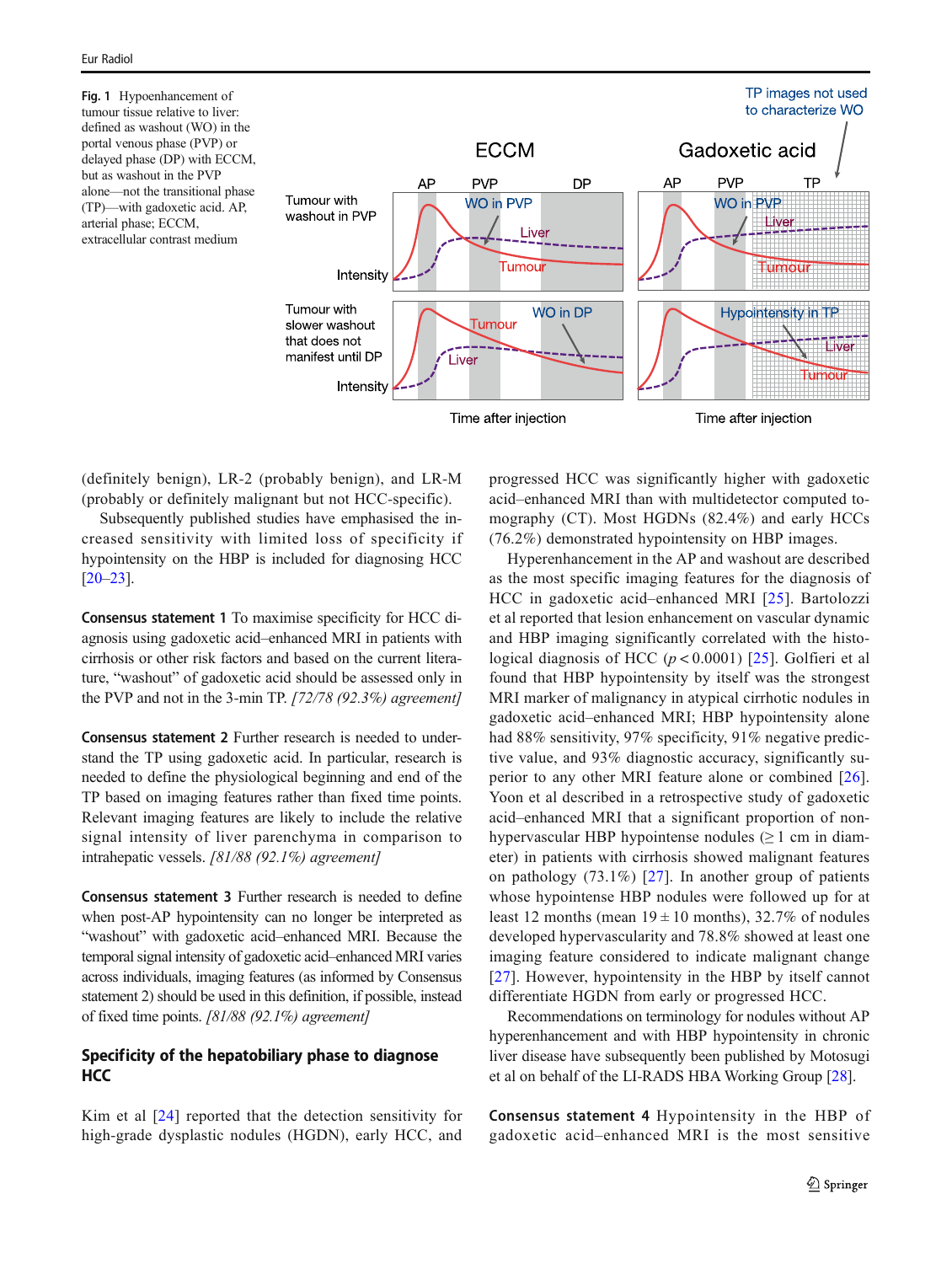<span id="page-2-0"></span>Fig. 1 Hypoenhancement of tumour tissue relative to liver: defined as washout (WO) in the portal venous phase (PVP) or delayed phase (DP) with ECCM, but as washout in the PVP alone—not the transitional phase (TP)—with gadoxetic acid. AP, arterial phase; ECCM, extracellular contrast medium



(definitely benign), LR-2 (probably benign), and LR-M (probably or definitely malignant but not HCC-specific).

Subsequently published studies have emphasised the increased sensitivity with limited loss of specificity if hypointensity on the HBP is included for diagnosing HCC [\[20](#page-9-0)–[23\]](#page-10-0).

Consensus statement 1 To maximise specificity for HCC diagnosis using gadoxetic acid–enhanced MRI in patients with cirrhosis or other risk factors and based on the current literature, "washout" of gadoxetic acid should be assessed only in the PVP and not in the 3-min TP. [72/78 (92.3%) agreement]

Consensus statement 2 Further research is needed to understand the TP using gadoxetic acid. In particular, research is needed to define the physiological beginning and end of the TP based on imaging features rather than fixed time points. Relevant imaging features are likely to include the relative signal intensity of liver parenchyma in comparison to intrahepatic vessels. [81/88 (92.1%) agreement]

Consensus statement 3 Further research is needed to define when post-AP hypointensity can no longer be interpreted as "washout" with gadoxetic acid–enhanced MRI. Because the temporal signal intensity of gadoxetic acid–enhanced MRI varies across individuals, imaging features (as informed by Consensus statement 2) should be used in this definition, if possible, instead of fixed time points. [81/88 (92.1%) agreement]

## Specificity of the hepatobiliary phase to diagnose **HCC**

Kim et al [[24](#page-10-0)] reported that the detection sensitivity for high-grade dysplastic nodules (HGDN), early HCC, and progressed HCC was significantly higher with gadoxetic acid–enhanced MRI than with multidetector computed tomography (CT). Most HGDNs (82.4%) and early HCCs (76.2%) demonstrated hypointensity on HBP images.

Hyperenhancement in the AP and washout are described as the most specific imaging features for the diagnosis of HCC in gadoxetic acid–enhanced MRI [[25](#page-10-0)]. Bartolozzi et al reported that lesion enhancement on vascular dynamic and HBP imaging significantly correlated with the histological diagnosis of HCC ( $p < 0.0001$ ) [\[25\]](#page-10-0). Golfieri et al found that HBP hypointensity by itself was the strongest MRI marker of malignancy in atypical cirrhotic nodules in gadoxetic acid–enhanced MRI; HBP hypointensity alone had 88% sensitivity, 97% specificity, 91% negative predictive value, and 93% diagnostic accuracy, significantly superior to any other MRI feature alone or combined [\[26](#page-10-0)]. Yoon et al described in a retrospective study of gadoxetic acid–enhanced MRI that a significant proportion of nonhypervascular HBP hypointense nodules  $(\geq 1 \text{ cm in diam})$ eter) in patients with cirrhosis showed malignant features on pathology (73.1%) [\[27\]](#page-10-0). In another group of patients whose hypointense HBP nodules were followed up for at least 12 months (mean  $19 \pm 10$  months), 32.7% of nodules developed hypervascularity and 78.8% showed at least one imaging feature considered to indicate malignant change [\[27\]](#page-10-0). However, hypointensity in the HBP by itself cannot differentiate HGDN from early or progressed HCC.

Recommendations on terminology for nodules without AP hyperenhancement and with HBP hypointensity in chronic liver disease have subsequently been published by Motosugi et al on behalf of the LI-RADS HBA Working Group [\[28](#page-10-0)].

Consensus statement 4 Hypointensity in the HBP of gadoxetic acid–enhanced MRI is the most sensitive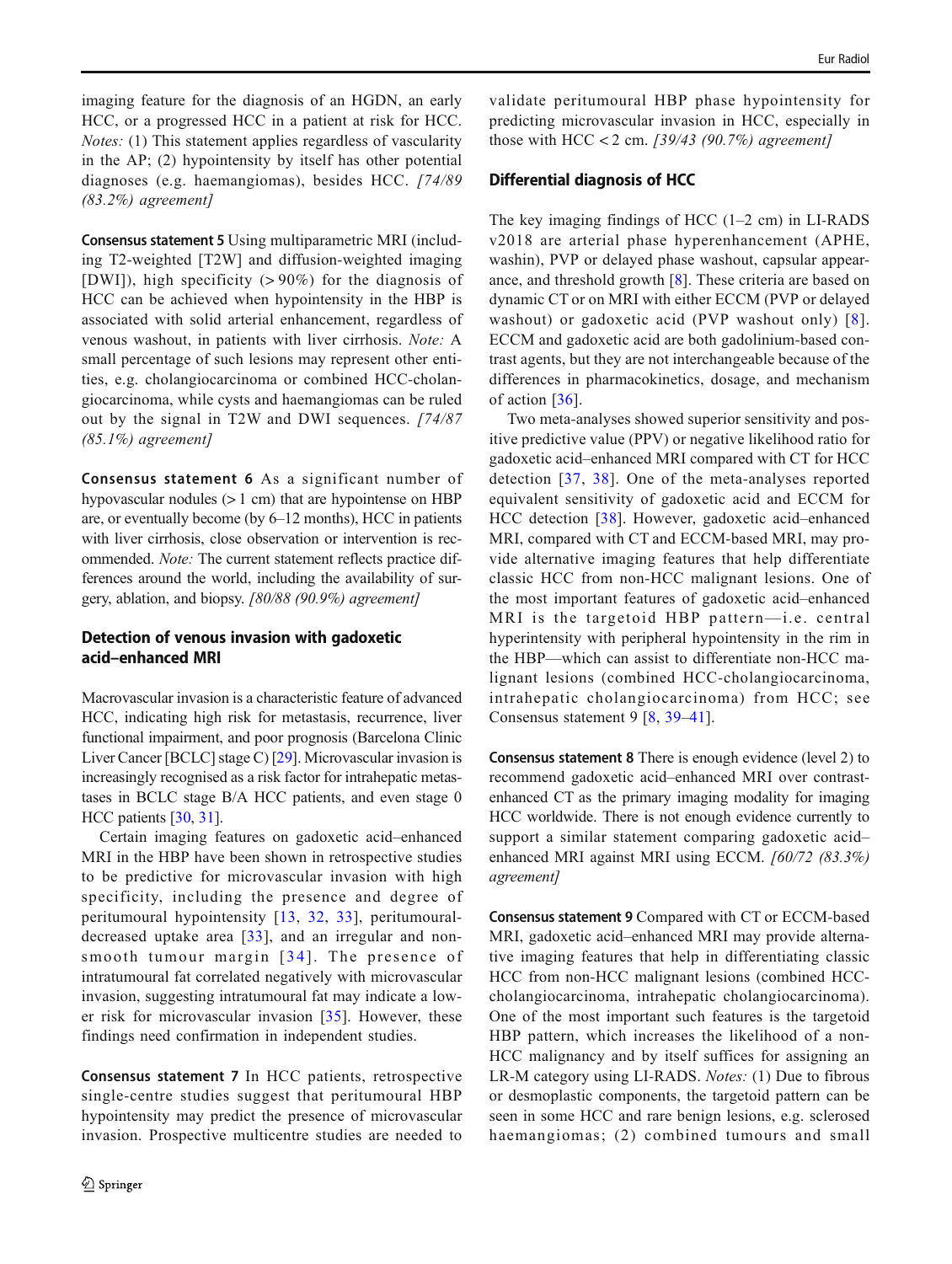imaging feature for the diagnosis of an HGDN, an early HCC, or a progressed HCC in a patient at risk for HCC. Notes: (1) This statement applies regardless of vascularity in the AP; (2) hypointensity by itself has other potential diagnoses (e.g. haemangiomas), besides HCC. [74/89] (83.2%) agreement]

Consensus statement 5 Using multiparametric MRI (including T2-weighted [T2W] and diffusion-weighted imaging [DWI]), high specificity (> 90%) for the diagnosis of HCC can be achieved when hypointensity in the HBP is associated with solid arterial enhancement, regardless of venous washout, in patients with liver cirrhosis. Note: A small percentage of such lesions may represent other entities, e.g. cholangiocarcinoma or combined HCC-cholangiocarcinoma, while cysts and haemangiomas can be ruled out by the signal in T2W and DWI sequences. [74/87] (85.1%) agreement]

Consensus statement 6 As a significant number of hypovascular nodules  $(> 1$  cm) that are hypointense on HBP are, or eventually become (by 6–12 months), HCC in patients with liver cirrhosis, close observation or intervention is recommended. Note: The current statement reflects practice differences around the world, including the availability of surgery, ablation, and biopsy. [80/88 (90.9%) agreement]

## Detection of venous invasion with gadoxetic acid–enhanced MRI

Macrovascular invasion is a characteristic feature of advanced HCC, indicating high risk for metastasis, recurrence, liver functional impairment, and poor prognosis (Barcelona Clinic Liver Cancer [BCLC] stage C) [\[29\]](#page-10-0). Microvascular invasion is increasingly recognised as a risk factor for intrahepatic metastases in BCLC stage B/A HCC patients, and even stage 0 HCC patients [[30](#page-10-0), [31](#page-10-0)].

Certain imaging features on gadoxetic acid–enhanced MRI in the HBP have been shown in retrospective studies to be predictive for microvascular invasion with high specificity, including the presence and degree of peritumoural hypointensity [[13](#page-9-0), [32](#page-10-0), [33](#page-10-0)], peritumouraldecreased uptake area [[33\]](#page-10-0), and an irregular and nonsmooth tumour margin [34]. The presence of intratumoural fat correlated negatively with microvascular invasion, suggesting intratumoural fat may indicate a lower risk for microvascular invasion [[35\]](#page-10-0). However, these findings need confirmation in independent studies.

Consensus statement 7 In HCC patients, retrospective single-centre studies suggest that peritumoural HBP hypointensity may predict the presence of microvascular invasion. Prospective multicentre studies are needed to validate peritumoural HBP phase hypointensity for predicting microvascular invasion in HCC, especially in those with HCC < 2 cm.  $\frac{39}{43}$  (90.7%) agreement]

#### Differential diagnosis of HCC

The key imaging findings of HCC (1–2 cm) in LI-RADS v2018 are arterial phase hyperenhancement (APHE, washin), PVP or delayed phase washout, capsular appearance, and threshold growth [\[8](#page-9-0)]. These criteria are based on dynamic CT or on MRI with either ECCM (PVP or delayed washout) or gadoxetic acid (PVP washout only) [[8](#page-9-0)]. ECCM and gadoxetic acid are both gadolinium-based contrast agents, but they are not interchangeable because of the differences in pharmacokinetics, dosage, and mechanism of action [[36\]](#page-10-0).

Two meta-analyses showed superior sensitivity and positive predictive value (PPV) or negative likelihood ratio for gadoxetic acid–enhanced MRI compared with CT for HCC detection [[37,](#page-10-0) [38\]](#page-10-0). One of the meta-analyses reported equivalent sensitivity of gadoxetic acid and ECCM for HCC detection [[38](#page-10-0)]. However, gadoxetic acid–enhanced MRI, compared with CT and ECCM-based MRI, may provide alternative imaging features that help differentiate classic HCC from non-HCC malignant lesions. One of the most important features of gadoxetic acid–enhanced MRI is the targetoid HBP pattern—i.e. central hyperintensity with peripheral hypointensity in the rim in the HBP—which can assist to differentiate non-HCC malignant lesions (combined HCC-cholangiocarcinoma, intrahepatic cholangiocarcinoma) from HCC; see Consensus statement 9 [[8,](#page-9-0) [39](#page-10-0)–[41\]](#page-10-0).

Consensus statement 8 There is enough evidence (level 2) to recommend gadoxetic acid–enhanced MRI over contrastenhanced CT as the primary imaging modality for imaging HCC worldwide. There is not enough evidence currently to support a similar statement comparing gadoxetic acid– enhanced MRI against MRI using ECCM. [60/72 (83.3%) agreement]

Consensus statement 9 Compared with CT or ECCM-based MRI, gadoxetic acid–enhanced MRI may provide alternative imaging features that help in differentiating classic HCC from non-HCC malignant lesions (combined HCCcholangiocarcinoma, intrahepatic cholangiocarcinoma). One of the most important such features is the targetoid HBP pattern, which increases the likelihood of a non-HCC malignancy and by itself suffices for assigning an LR-M category using LI-RADS. Notes: (1) Due to fibrous or desmoplastic components, the targetoid pattern can be seen in some HCC and rare benign lesions, e.g. sclerosed haemangiomas; (2) combined tumours and small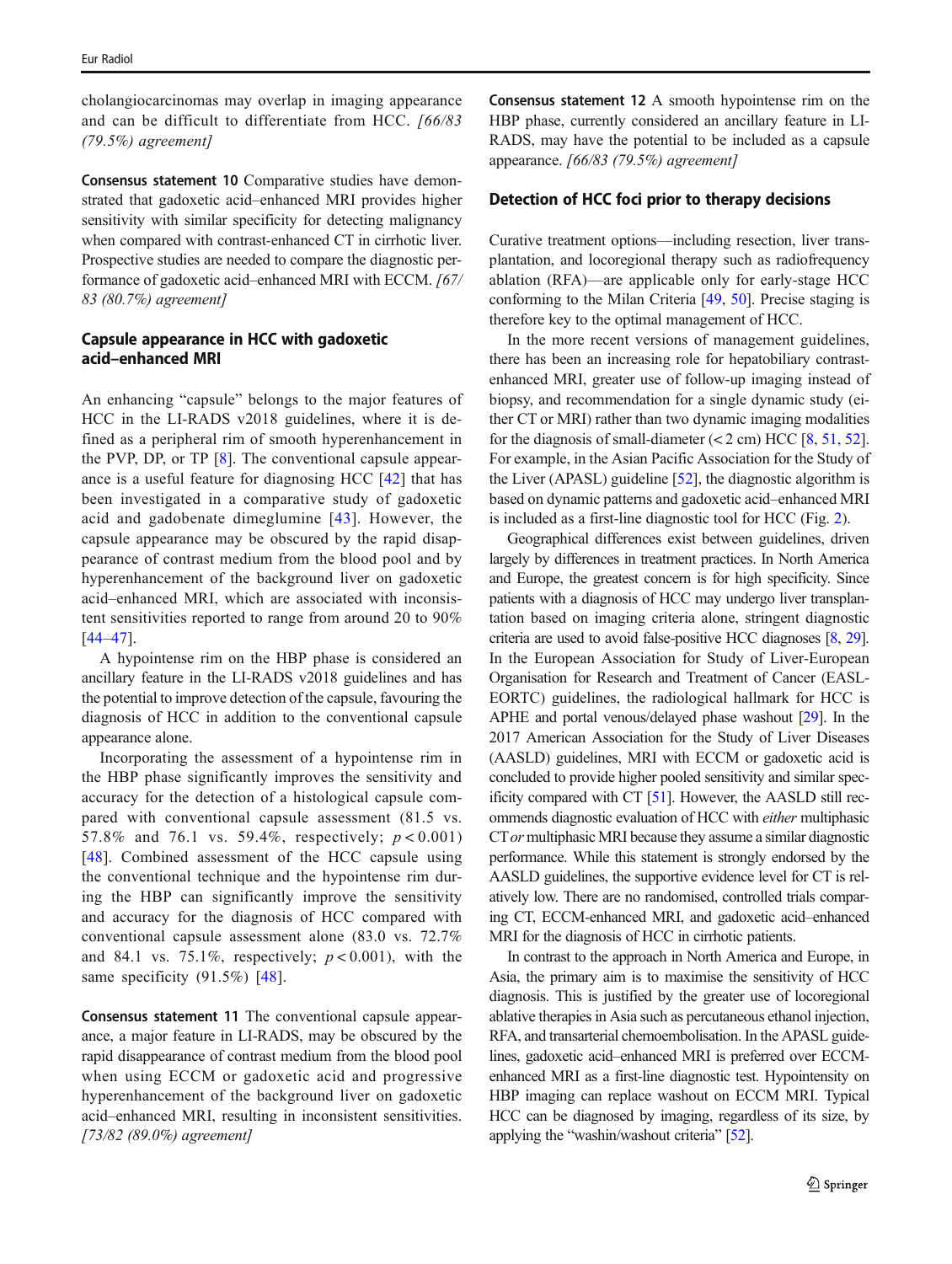cholangiocarcinomas may overlap in imaging appearance and can be difficult to differentiate from HCC. [66/83] (79.5%) agreement]

Consensus statement 10 Comparative studies have demonstrated that gadoxetic acid–enhanced MRI provides higher sensitivity with similar specificity for detecting malignancy when compared with contrast-enhanced CT in cirrhotic liver. Prospective studies are needed to compare the diagnostic performance of gadoxetic acid–enhanced MRI with ECCM. [67/ 83 (80.7%) agreement]

## Capsule appearance in HCC with gadoxetic acid–enhanced MRI

An enhancing "capsule" belongs to the major features of HCC in the LI-RADS v2018 guidelines, where it is defined as a peripheral rim of smooth hyperenhancement in the PVP, DP, or TP [[8](#page-9-0)]. The conventional capsule appearance is a useful feature for diagnosing HCC [\[42\]](#page-10-0) that has been investigated in a comparative study of gadoxetic acid and gadobenate dimeglumine [\[43](#page-10-0)]. However, the capsule appearance may be obscured by the rapid disappearance of contrast medium from the blood pool and by hyperenhancement of the background liver on gadoxetic acid–enhanced MRI, which are associated with inconsistent sensitivities reported to range from around 20 to 90% [\[44](#page-10-0)–[47\]](#page-10-0).

A hypointense rim on the HBP phase is considered an ancillary feature in the LI-RADS v2018 guidelines and has the potential to improve detection of the capsule, favouring the diagnosis of HCC in addition to the conventional capsule appearance alone.

Incorporating the assessment of a hypointense rim in the HBP phase significantly improves the sensitivity and accuracy for the detection of a histological capsule compared with conventional capsule assessment (81.5 vs. 57.8% and 76.1 vs. 59.4%, respectively;  $p < 0.001$ ) [\[48\]](#page-10-0). Combined assessment of the HCC capsule using the conventional technique and the hypointense rim during the HBP can significantly improve the sensitivity and accuracy for the diagnosis of HCC compared with conventional capsule assessment alone (83.0 vs. 72.7% and 84.1 vs. 75.1%, respectively;  $p < 0.001$ ), with the same specificity (91.5%) [\[48\]](#page-10-0).

Consensus statement 11 The conventional capsule appearance, a major feature in LI-RADS, may be obscured by the rapid disappearance of contrast medium from the blood pool when using ECCM or gadoxetic acid and progressive hyperenhancement of the background liver on gadoxetic acid–enhanced MRI, resulting in inconsistent sensitivities. [73/82 (89.0%) agreement]

Consensus statement 12 A smooth hypointense rim on the HBP phase, currently considered an ancillary feature in LI-RADS, may have the potential to be included as a capsule appearance. [66/83 (79.5%) agreement]

#### Detection of HCC foci prior to therapy decisions

Curative treatment options—including resection, liver transplantation, and locoregional therapy such as radiofrequency ablation (RFA)—are applicable only for early-stage HCC conforming to the Milan Criteria [[49,](#page-10-0) [50](#page-10-0)]. Precise staging is therefore key to the optimal management of HCC.

In the more recent versions of management guidelines, there has been an increasing role for hepatobiliary contrastenhanced MRI, greater use of follow-up imaging instead of biopsy, and recommendation for a single dynamic study (either CT or MRI) rather than two dynamic imaging modalities for the diagnosis of small-diameter  $(< 2 \text{ cm})$  HCC  $[8, 51, 52]$  $[8, 51, 52]$  $[8, 51, 52]$  $[8, 51, 52]$  $[8, 51, 52]$  $[8, 51, 52]$ . For example, in the Asian Pacific Association for the Study of the Liver (APASL) guideline [[52\]](#page-11-0), the diagnostic algorithm is based on dynamic patterns and gadoxetic acid–enhanced MRI is included as a first-line diagnostic tool for HCC (Fig. [2\)](#page-5-0).

Geographical differences exist between guidelines, driven largely by differences in treatment practices. In North America and Europe, the greatest concern is for high specificity. Since patients with a diagnosis of HCC may undergo liver transplantation based on imaging criteria alone, stringent diagnostic criteria are used to avoid false-positive HCC diagnoses [\[8](#page-9-0), [29\]](#page-10-0). In the European Association for Study of Liver-European Organisation for Research and Treatment of Cancer (EASL-EORTC) guidelines, the radiological hallmark for HCC is APHE and portal venous/delayed phase washout [\[29](#page-10-0)]. In the 2017 American Association for the Study of Liver Diseases (AASLD) guidelines, MRI with ECCM or gadoxetic acid is concluded to provide higher pooled sensitivity and similar specificity compared with CT [\[51](#page-10-0)]. However, the AASLD still recommends diagnostic evaluation of HCC with either multiphasic CTor multiphasic MRI because they assume a similar diagnostic performance. While this statement is strongly endorsed by the AASLD guidelines, the supportive evidence level for CT is relatively low. There are no randomised, controlled trials comparing CT, ECCM-enhanced MRI, and gadoxetic acid–enhanced MRI for the diagnosis of HCC in cirrhotic patients.

In contrast to the approach in North America and Europe, in Asia, the primary aim is to maximise the sensitivity of HCC diagnosis. This is justified by the greater use of locoregional ablative therapies in Asia such as percutaneous ethanol injection, RFA, and transarterial chemoembolisation. In the APASL guidelines, gadoxetic acid–enhanced MRI is preferred over ECCMenhanced MRI as a first-line diagnostic test. Hypointensity on HBP imaging can replace washout on ECCM MRI. Typical HCC can be diagnosed by imaging, regardless of its size, by applying the "washin/washout criteria" [\[52\]](#page-11-0).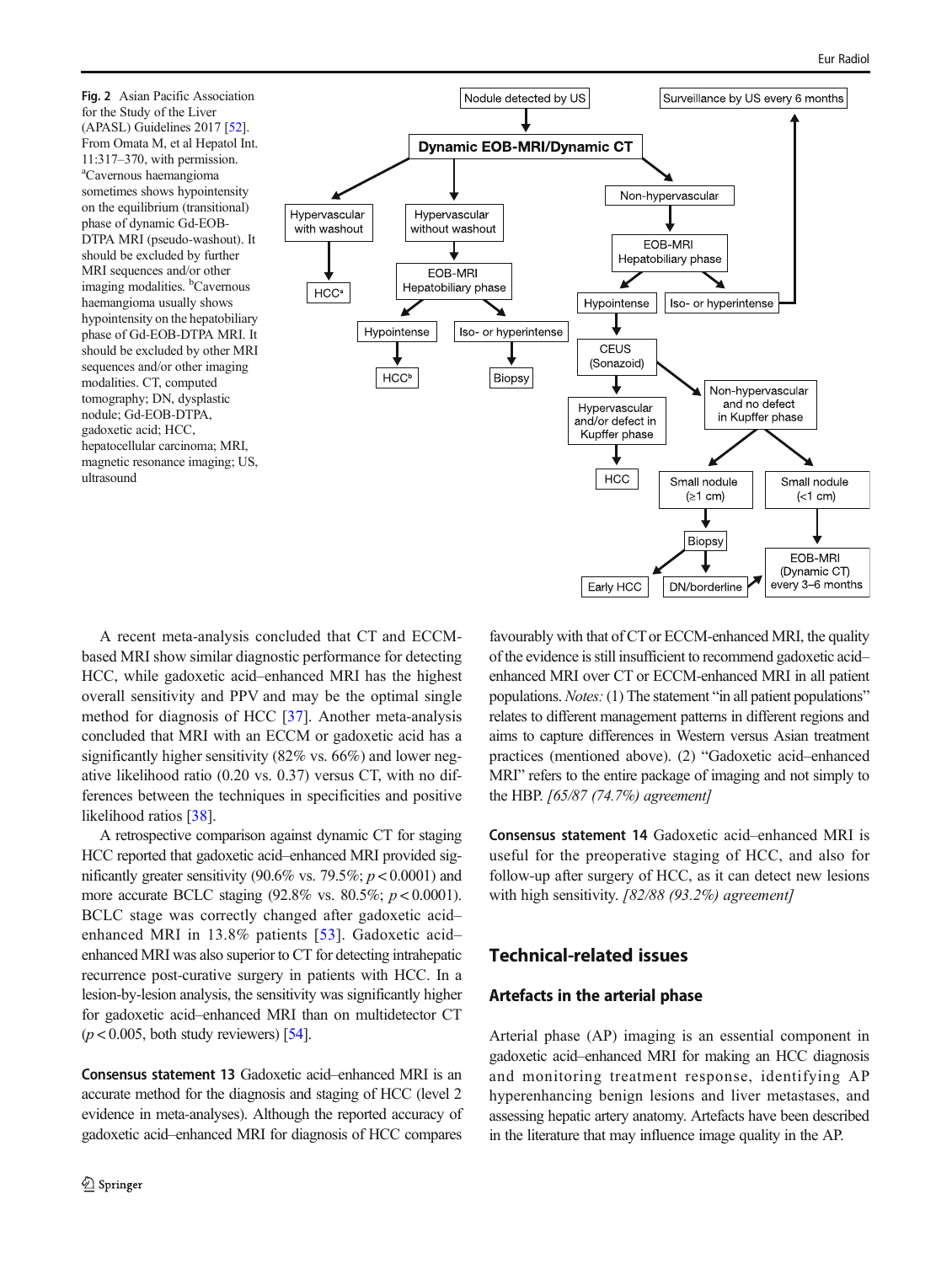<span id="page-5-0"></span>Fig. 2 Asian Pacific Association for the Study of the Liver (APASL) Guidelines 2017 [\[52](#page-11-0)]. From Omata M, et al Hepatol Int.  $11:317-370$ , with permission. Cavernous haemangioma sometimes shows hypointensity on the equilibrium (transitional) phase of dynamic Gd-EOB-DTPA MRI (pseudo-washout). It should be excluded by further MRI sequences and/or other imaging modalities. <sup>b</sup>Cavernous haemangioma usually shows hypointensity on the hepatobiliary phase of Gd-EOB-DTPA MRI. It should be excluded by other MRI sequences and/or other imaging modalities. CT, computed tomography; DN, dysplastic nodule; Gd-EOB-DTPA, gadoxetic acid; HCC, hepatocellular carcinoma; MRI, magnetic resonance imaging; US, ultrasound



A recent meta-analysis concluded that CT and ECCMbased MRI show similar diagnostic performance for detecting HCC, while gadoxetic acid–enhanced MRI has the highest overall sensitivity and PPV and may be the optimal single method for diagnosis of HCC [[37\]](#page-10-0). Another meta-analysis concluded that MRI with an ECCM or gadoxetic acid has a significantly higher sensitivity (82% vs. 66%) and lower negative likelihood ratio (0.20 vs. 0.37) versus CT, with no differences between the techniques in specificities and positive likelihood ratios [[38\]](#page-10-0).

A retrospective comparison against dynamic CT for staging HCC reported that gadoxetic acid–enhanced MRI provided significantly greater sensitivity (90.6% vs. 79.5%;  $p < 0.0001$ ) and more accurate BCLC staging  $(92.8\% \text{ vs. } 80.5\%; p < 0.0001)$ . BCLC stage was correctly changed after gadoxetic acid– enhanced MRI in 13.8% patients [[53](#page-11-0)]. Gadoxetic acid– enhanced MRI was also superior to CT for detecting intrahepatic recurrence post-curative surgery in patients with HCC. In a lesion-by-lesion analysis, the sensitivity was significantly higher for gadoxetic acid–enhanced MRI than on multidetector CT  $(p < 0.005$ , both study reviewers) [\[54\]](#page-11-0).

Consensus statement 13 Gadoxetic acid–enhanced MRI is an accurate method for the diagnosis and staging of HCC (level 2 evidence in meta-analyses). Although the reported accuracy of gadoxetic acid–enhanced MRI for diagnosis of HCC compares

favourably with that of CT or ECCM-enhanced MRI, the quality of the evidence is still insufficient to recommend gadoxetic acid– enhanced MRI over CT or ECCM-enhanced MRI in all patient populations. Notes: (1) The statement "in all patient populations" relates to different management patterns in different regions and aims to capture differences in Western versus Asian treatment practices (mentioned above). (2) "Gadoxetic acid–enhanced MRI" refers to the entire package of imaging and not simply to the HBP. [65/87 (74.7%) agreement]

DN/borderline

Early HCC

Consensus statement 14 Gadoxetic acid–enhanced MRI is useful for the preoperative staging of HCC, and also for follow-up after surgery of HCC, as it can detect new lesions with high sensitivity. [82/88 (93.2%) agreement]

## Technical-related issues

### Artefacts in the arterial phase

Arterial phase (AP) imaging is an essential component in gadoxetic acid–enhanced MRI for making an HCC diagnosis and monitoring treatment response, identifying AP hyperenhancing benign lesions and liver metastases, and assessing hepatic artery anatomy. Artefacts have been described in the literature that may influence image quality in the AP.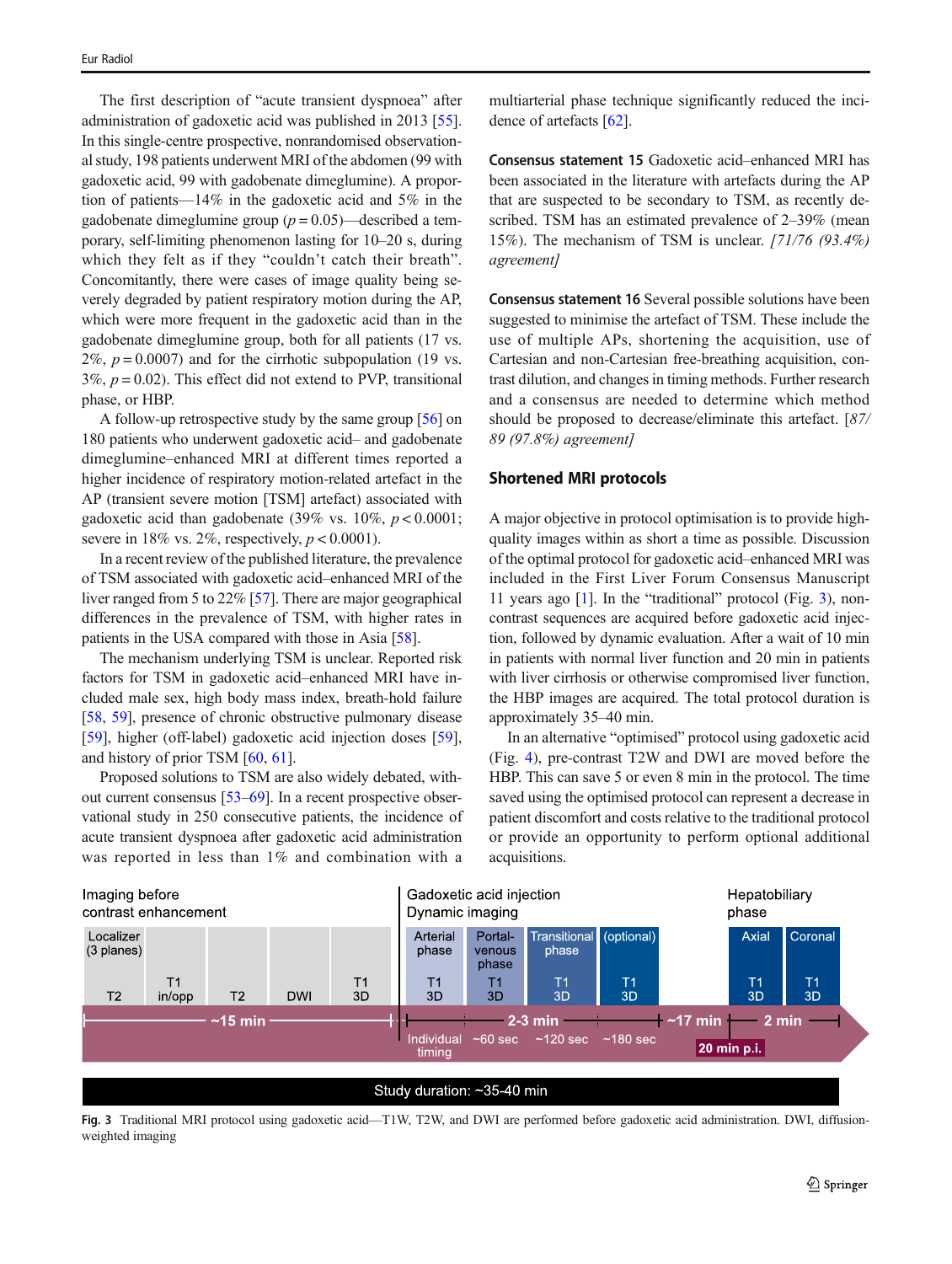The first description of "acute transient dyspnoea" after administration of gadoxetic acid was published in 2013 [[55\]](#page-11-0). In this single-centre prospective, nonrandomised observational study, 198 patients underwent MRI of the abdomen (99 with gadoxetic acid, 99 with gadobenate dimeglumine). A proportion of patients—14% in the gadoxetic acid and 5% in the gadobenate dimeglumine group ( $p = 0.05$ )—described a temporary, self-limiting phenomenon lasting for 10–20 s, during which they felt as if they "couldn't catch their breath". Concomitantly, there were cases of image quality being severely degraded by patient respiratory motion during the AP, which were more frequent in the gadoxetic acid than in the gadobenate dimeglumine group, both for all patients (17 vs. 2%,  $p = 0.0007$ ) and for the cirrhotic subpopulation (19 vs.  $3\%$ ,  $p = 0.02$ ). This effect did not extend to PVP, transitional phase, or HBP.

A follow-up retrospective study by the same group [\[56\]](#page-11-0) on 180 patients who underwent gadoxetic acid– and gadobenate dimeglumine–enhanced MRI at different times reported a higher incidence of respiratory motion-related artefact in the AP (transient severe motion [TSM] artefact) associated with gadoxetic acid than gadobenate (39% vs.  $10\%$ ,  $p < 0.0001$ ; severe in 18% vs. 2%, respectively,  $p < 0.0001$ ).

In a recent review of the published literature, the prevalence of TSM associated with gadoxetic acid–enhanced MRI of the liver ranged from 5 to 22% [\[57](#page-11-0)]. There are major geographical differences in the prevalence of TSM, with higher rates in patients in the USA compared with those in Asia [\[58\]](#page-11-0).

The mechanism underlying TSM is unclear. Reported risk factors for TSM in gadoxetic acid–enhanced MRI have included male sex, high body mass index, breath-hold failure [\[58,](#page-11-0) [59\]](#page-11-0), presence of chronic obstructive pulmonary disease [\[59](#page-11-0)], higher (off-label) gadoxetic acid injection doses [[59](#page-11-0)], and history of prior TSM [\[60,](#page-11-0) [61\]](#page-11-0).

Proposed solutions to TSM are also widely debated, without current consensus [\[53](#page-11-0)–[69\]](#page-11-0). In a recent prospective observational study in 250 consecutive patients, the incidence of acute transient dyspnoea after gadoxetic acid administration was reported in less than 1% and combination with a

multiarterial phase technique significantly reduced the incidence of artefacts [\[62](#page-11-0)].

Consensus statement 15 Gadoxetic acid–enhanced MRI has been associated in the literature with artefacts during the AP that are suspected to be secondary to TSM, as recently described. TSM has an estimated prevalence of 2–39% (mean 15%). The mechanism of TSM is unclear. [71/76 (93.4%) agreement]

Consensus statement 16 Several possible solutions have been suggested to minimise the artefact of TSM. These include the use of multiple APs, shortening the acquisition, use of Cartesian and non-Cartesian free-breathing acquisition, contrast dilution, and changes in timing methods. Further research and a consensus are needed to determine which method should be proposed to decrease/eliminate this artefact. [87/ 89 (97.8%) agreement]

#### Shortened MRI protocols

A major objective in protocol optimisation is to provide highquality images within as short a time as possible. Discussion of the optimal protocol for gadoxetic acid–enhanced MRI was included in the First Liver Forum Consensus Manuscript 11 years ago [\[1](#page-9-0)]. In the "traditional" protocol (Fig. 3), noncontrast sequences are acquired before gadoxetic acid injection, followed by dynamic evaluation. After a wait of 10 min in patients with normal liver function and 20 min in patients with liver cirrhosis or otherwise compromised liver function, the HBP images are acquired. The total protocol duration is approximately 35–40 min.

In an alternative "optimised" protocol using gadoxetic acid (Fig. [4\)](#page-7-0), pre-contrast T2W and DWI are moved before the HBP. This can save 5 or even 8 min in the protocol. The time saved using the optimised protocol can represent a decrease in patient discomfort and costs relative to the traditional protocol or provide an opportunity to perform optional additional acquisitions.



Fig. 3 Traditional MRI protocol using gadoxetic acid—T1W, T2W, and DWI are performed before gadoxetic acid administration. DWI, diffusionweighted imaging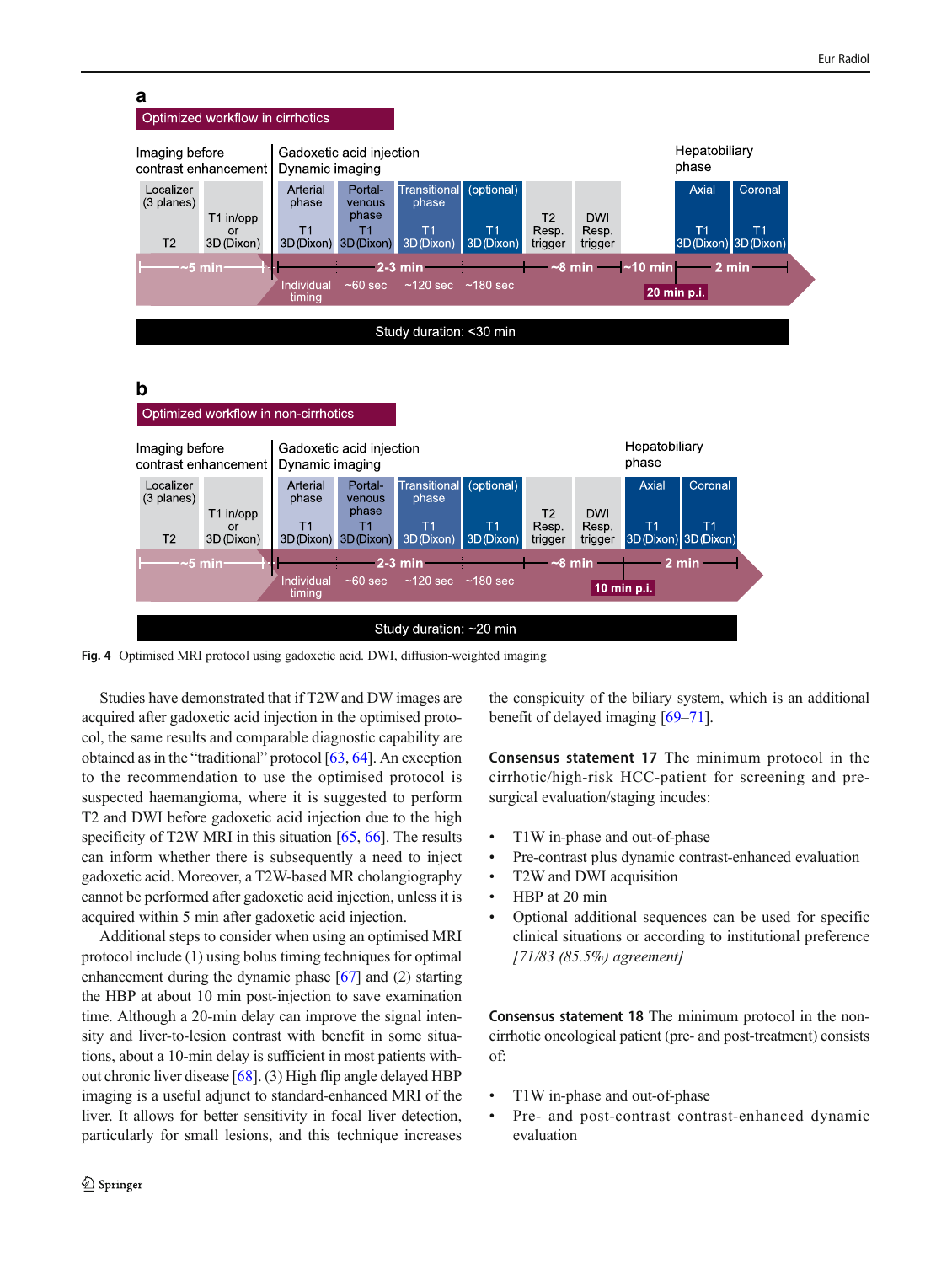<span id="page-7-0"></span>

Fig. 4 Optimised MRI protocol using gadoxetic acid. DWI, diffusion-weighted imaging

Studies have demonstrated that if T2W and DW images are acquired after gadoxetic acid injection in the optimised protocol, the same results and comparable diagnostic capability are obtained as in the "traditional" protocol [\[63](#page-11-0), [64](#page-11-0)]. An exception to the recommendation to use the optimised protocol is suspected haemangioma, where it is suggested to perform T2 and DWI before gadoxetic acid injection due to the high specificity of T2W MRI in this situation [[65](#page-11-0), [66](#page-11-0)]. The results can inform whether there is subsequently a need to inject gadoxetic acid. Moreover, a T2W-based MR cholangiography cannot be performed after gadoxetic acid injection, unless it is acquired within 5 min after gadoxetic acid injection.

Additional steps to consider when using an optimised MRI protocol include (1) using bolus timing techniques for optimal enhancement during the dynamic phase [\[67\]](#page-11-0) and (2) starting the HBP at about 10 min post-injection to save examination time. Although a 20-min delay can improve the signal intensity and liver-to-lesion contrast with benefit in some situations, about a 10-min delay is sufficient in most patients without chronic liver disease [\[68](#page-11-0)]. (3) High flip angle delayed HBP imaging is a useful adjunct to standard-enhanced MRI of the liver. It allows for better sensitivity in focal liver detection, particularly for small lesions, and this technique increases

the conspicuity of the biliary system, which is an additional benefit of delayed imaging [[69](#page-11-0)–[71\]](#page-11-0).

Consensus statement 17 The minimum protocol in the cirrhotic/high-risk HCC-patient for screening and presurgical evaluation/staging incudes:

- T1W in-phase and out-of-phase
- Pre-contrast plus dynamic contrast-enhanced evaluation
- T2W and DWI acquisition
- HBP at 20 min
- & Optional additional sequences can be used for specific clinical situations or according to institutional preference [71/83 (85.5%) agreement]

Consensus statement 18 The minimum protocol in the noncirrhotic oncological patient (pre- and post-treatment) consists of:

- T1W in-phase and out-of-phase
- Pre- and post-contrast contrast-enhanced dynamic evaluation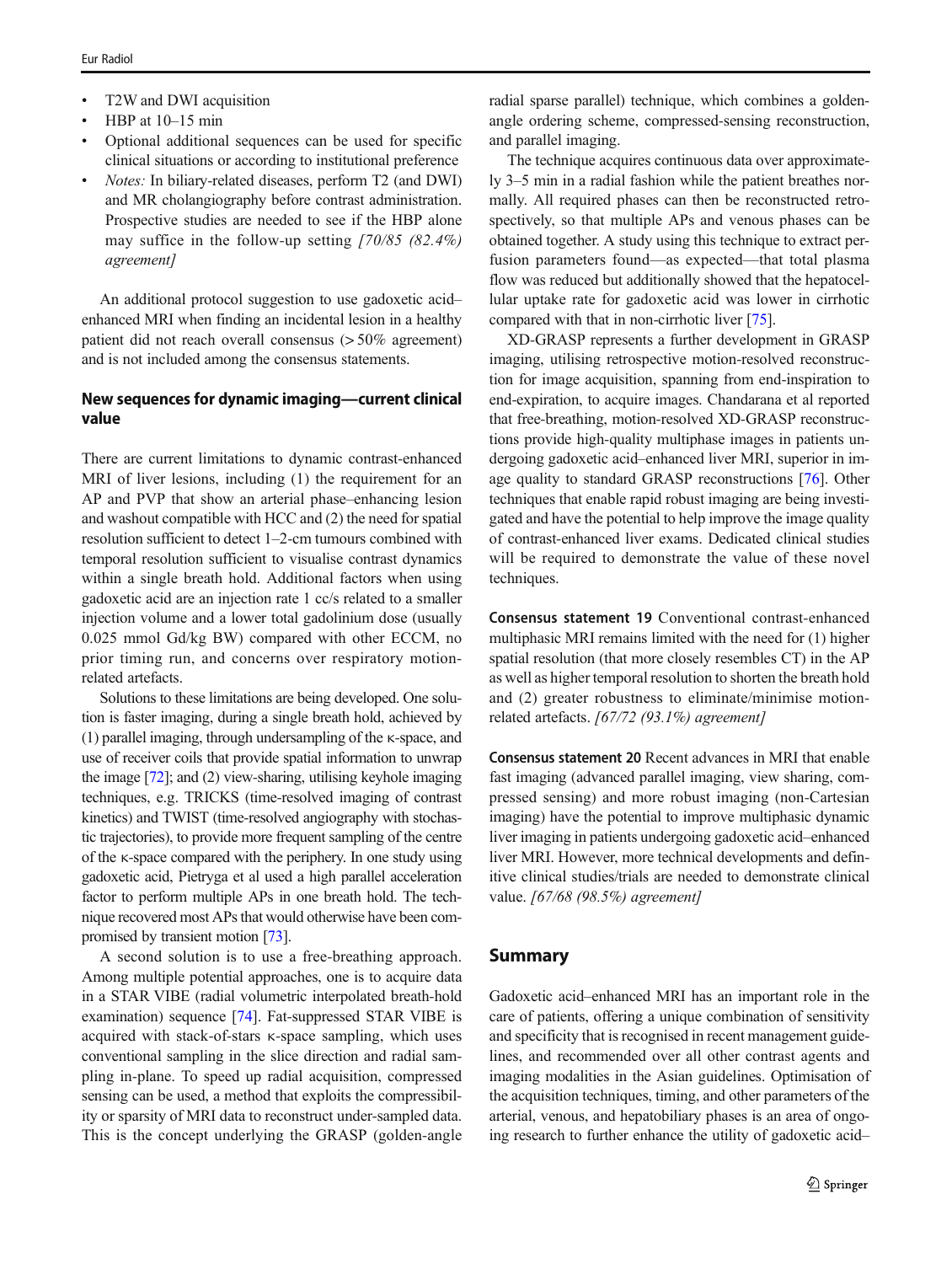- T2W and DWI acquisition
- HBP at  $10-15$  min
- & Optional additional sequences can be used for specific clinical situations or according to institutional preference
- Notes: In biliary-related diseases, perform T2 (and DWI) and MR cholangiography before contrast administration. Prospective studies are needed to see if the HBP alone may suffice in the follow-up setting  $\frac{70}{85}$  (82.4%) agreement]

An additional protocol suggestion to use gadoxetic acid– enhanced MRI when finding an incidental lesion in a healthy patient did not reach overall consensus (> 50% agreement) and is not included among the consensus statements.

## New sequences for dynamic imaging—current clinical value

There are current limitations to dynamic contrast-enhanced MRI of liver lesions, including (1) the requirement for an AP and PVP that show an arterial phase–enhancing lesion and washout compatible with HCC and (2) the need for spatial resolution sufficient to detect 1–2-cm tumours combined with temporal resolution sufficient to visualise contrast dynamics within a single breath hold. Additional factors when using gadoxetic acid are an injection rate 1 cc/s related to a smaller injection volume and a lower total gadolinium dose (usually 0.025 mmol Gd/kg BW) compared with other ECCM, no prior timing run, and concerns over respiratory motionrelated artefacts.

Solutions to these limitations are being developed. One solution is faster imaging, during a single breath hold, achieved by (1) parallel imaging, through undersampling of the κ-space, and use of receiver coils that provide spatial information to unwrap the image [\[72\]](#page-11-0); and (2) view-sharing, utilising keyhole imaging techniques, e.g. TRICKS (time-resolved imaging of contrast kinetics) and TWIST (time-resolved angiography with stochastic trajectories), to provide more frequent sampling of the centre of the κ-space compared with the periphery. In one study using gadoxetic acid, Pietryga et al used a high parallel acceleration factor to perform multiple APs in one breath hold. The technique recovered most APs that would otherwise have been com-promised by transient motion [[73](#page-11-0)].

A second solution is to use a free-breathing approach. Among multiple potential approaches, one is to acquire data in a STAR VIBE (radial volumetric interpolated breath-hold examination) sequence [\[74](#page-11-0)]. Fat-suppressed STAR VIBE is acquired with stack-of-stars κ-space sampling, which uses conventional sampling in the slice direction and radial sampling in-plane. To speed up radial acquisition, compressed sensing can be used, a method that exploits the compressibility or sparsity of MRI data to reconstruct under-sampled data. This is the concept underlying the GRASP (golden-angle

radial sparse parallel) technique, which combines a goldenangle ordering scheme, compressed-sensing reconstruction, and parallel imaging.

The technique acquires continuous data over approximately 3–5 min in a radial fashion while the patient breathes normally. All required phases can then be reconstructed retrospectively, so that multiple APs and venous phases can be obtained together. A study using this technique to extract perfusion parameters found—as expected—that total plasma flow was reduced but additionally showed that the hepatocellular uptake rate for gadoxetic acid was lower in cirrhotic compared with that in non-cirrhotic liver [\[75](#page-11-0)].

XD-GRASP represents a further development in GRASP imaging, utilising retrospective motion-resolved reconstruction for image acquisition, spanning from end-inspiration to end-expiration, to acquire images. Chandarana et al reported that free-breathing, motion-resolved XD-GRASP reconstructions provide high-quality multiphase images in patients undergoing gadoxetic acid–enhanced liver MRI, superior in image quality to standard GRASP reconstructions [\[76\]](#page-11-0). Other techniques that enable rapid robust imaging are being investigated and have the potential to help improve the image quality of contrast-enhanced liver exams. Dedicated clinical studies will be required to demonstrate the value of these novel techniques.

Consensus statement 19 Conventional contrast-enhanced multiphasic MRI remains limited with the need for (1) higher spatial resolution (that more closely resembles CT) in the AP as well as higher temporal resolution to shorten the breath hold and (2) greater robustness to eliminate/minimise motionrelated artefacts. [67/72 (93.1%) agreement]

Consensus statement 20 Recent advances in MRI that enable fast imaging (advanced parallel imaging, view sharing, compressed sensing) and more robust imaging (non-Cartesian imaging) have the potential to improve multiphasic dynamic liver imaging in patients undergoing gadoxetic acid–enhanced liver MRI. However, more technical developments and definitive clinical studies/trials are needed to demonstrate clinical value. [67/68 (98.5%) agreement]

#### Summary

Gadoxetic acid–enhanced MRI has an important role in the care of patients, offering a unique combination of sensitivity and specificity that is recognised in recent management guidelines, and recommended over all other contrast agents and imaging modalities in the Asian guidelines. Optimisation of the acquisition techniques, timing, and other parameters of the arterial, venous, and hepatobiliary phases is an area of ongoing research to further enhance the utility of gadoxetic acid–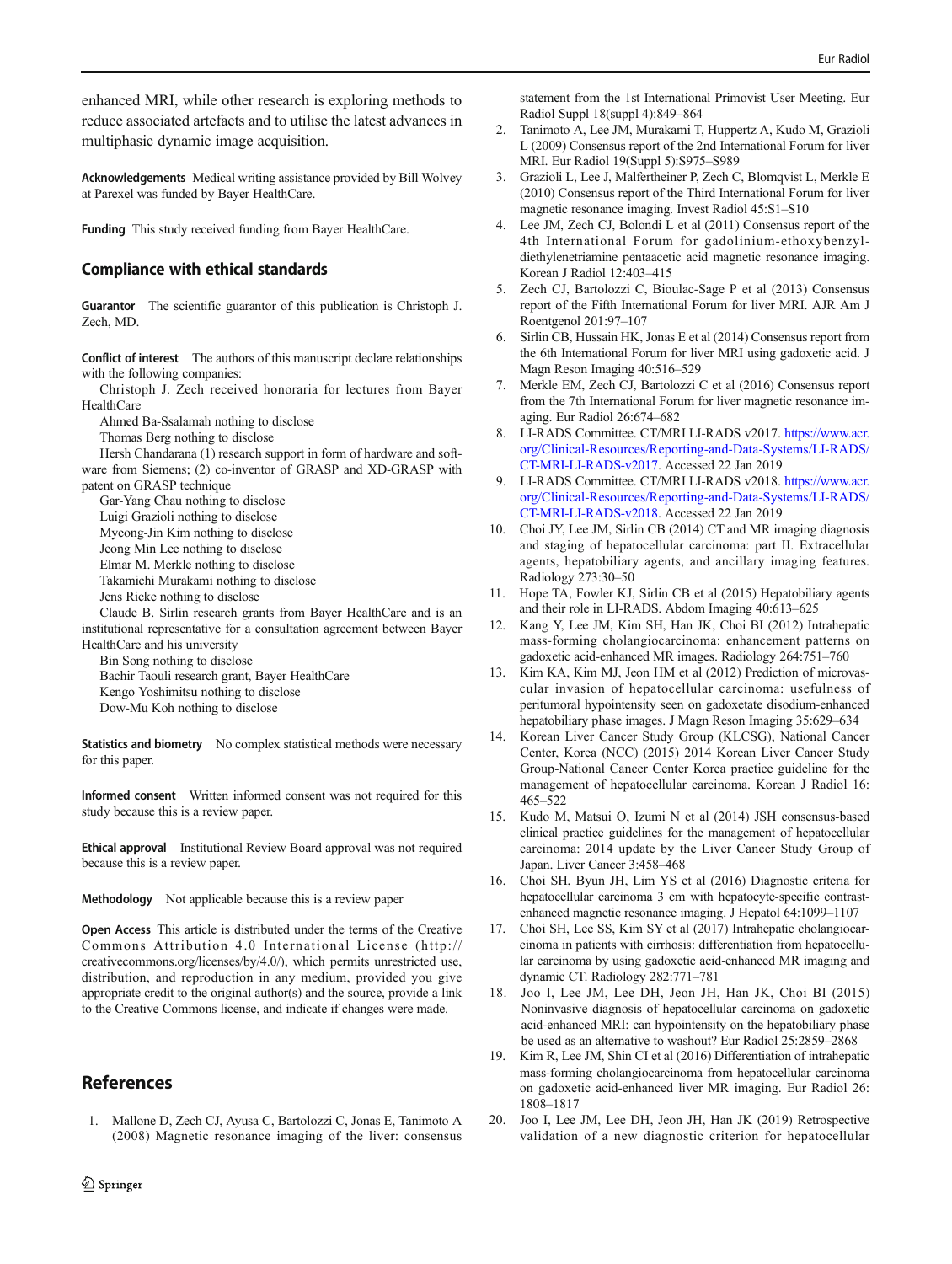<span id="page-9-0"></span>enhanced MRI, while other research is exploring methods to reduce associated artefacts and to utilise the latest advances in multiphasic dynamic image acquisition.

Acknowledgements Medical writing assistance provided by Bill Wolvey at Parexel was funded by Bayer HealthCare.

Funding This study received funding from Bayer HealthCare.

## Compliance with ethical standards

Guarantor The scientific guarantor of this publication is Christoph J. Zech, MD.

Conflict of interest The authors of this manuscript declare relationships with the following companies:

Christoph J. Zech received honoraria for lectures from Bayer HealthCare

Ahmed Ba-Ssalamah nothing to disclose

Thomas Berg nothing to disclose

Hersh Chandarana (1) research support in form of hardware and software from Siemens; (2) co-inventor of GRASP and XD-GRASP with patent on GRASP technique

Gar-Yang Chau nothing to disclose

Luigi Grazioli nothing to disclose

Myeong-Jin Kim nothing to disclose

Jeong Min Lee nothing to disclose

Elmar M. Merkle nothing to disclose

Takamichi Murakami nothing to disclose

Jens Ricke nothing to disclose

Claude B. Sirlin research grants from Bayer HealthCare and is an institutional representative for a consultation agreement between Bayer HealthCare and his university

Bin Song nothing to disclose

Bachir Taouli research grant, Bayer HealthCare

Kengo Yoshimitsu nothing to disclose

Dow-Mu Koh nothing to disclose

Statistics and biometry No complex statistical methods were necessary for this paper.

Informed consent Written informed consent was not required for this study because this is a review paper.

Ethical approval Institutional Review Board approval was not required because this is a review paper.

Methodology Not applicable because this is a review paper

Open Access This article is distributed under the terms of the Creative Commons Attribution 4.0 International License (http:// creativecommons.org/licenses/by/4.0/), which permits unrestricted use, distribution, and reproduction in any medium, provided you give appropriate credit to the original author(s) and the source, provide a link to the Creative Commons license, and indicate if changes were made.

# References

1. Mallone D, Zech CJ, Ayusa C, Bartolozzi C, Jonas E, Tanimoto A (2008) Magnetic resonance imaging of the liver: consensus

statement from the 1st International Primovist User Meeting. Eur Radiol Suppl 18(suppl 4):849–864

- 2. Tanimoto A, Lee JM, Murakami T, Huppertz A, Kudo M, Grazioli L (2009) Consensus report of the 2nd International Forum for liver MRI. Eur Radiol 19(Suppl 5):S975–S989
- 3. Grazioli L, Lee J, Malfertheiner P, Zech C, Blomqvist L, Merkle E (2010) Consensus report of the Third International Forum for liver magnetic resonance imaging. Invest Radiol 45:S1–S10
- 4. Lee JM, Zech CJ, Bolondi L et al (2011) Consensus report of the 4th International Forum for gadolinium-ethoxybenzyldiethylenetriamine pentaacetic acid magnetic resonance imaging. Korean J Radiol 12:403–415
- 5. Zech CJ, Bartolozzi C, Bioulac-Sage P et al (2013) Consensus report of the Fifth International Forum for liver MRI. AJR Am J Roentgenol 201:97–107
- 6. Sirlin CB, Hussain HK, Jonas E et al (2014) Consensus report from the 6th International Forum for liver MRI using gadoxetic acid. J Magn Reson Imaging 40:516–529
- 7. Merkle EM, Zech CJ, Bartolozzi C et al (2016) Consensus report from the 7th International Forum for liver magnetic resonance imaging. Eur Radiol 26:674–682
- 8. LI-RADS Committee. CT/MRI LI-RADS v2017. [https://www.acr.](https://www.acr.org/Clinical-Resources/Reporting-and-Data-Systems/LI-RADS/CT-MRI-LI-RADS-v2017) [org/Clinical-Resources/Reporting-and-Data-Systems/LI-RADS/](https://www.acr.org/Clinical-Resources/Reporting-and-Data-Systems/LI-RADS/CT-MRI-LI-RADS-v2017) [CT-MRI-LI-RADS-v2017.](https://www.acr.org/Clinical-Resources/Reporting-and-Data-Systems/LI-RADS/CT-MRI-LI-RADS-v2017) Accessed 22 Jan 2019
- 9. LI-RADS Committee. CT/MRI LI-RADS v2018. [https://www.acr.](https://www.acr.org/Clinical-Resources/Reporting-and-Data-Systems/LI-RADS/CT-MRI-LI-RADS-v2018) [org/Clinical-Resources/Reporting-and-Data-Systems/LI-RADS/](https://www.acr.org/Clinical-Resources/Reporting-and-Data-Systems/LI-RADS/CT-MRI-LI-RADS-v2018) [CT-MRI-LI-RADS-v2018.](https://www.acr.org/Clinical-Resources/Reporting-and-Data-Systems/LI-RADS/CT-MRI-LI-RADS-v2018) Accessed 22 Jan 2019
- 10. Choi JY, Lee JM, Sirlin CB (2014) CT and MR imaging diagnosis and staging of hepatocellular carcinoma: part II. Extracellular agents, hepatobiliary agents, and ancillary imaging features. Radiology 273:30–50
- 11. Hope TA, Fowler KJ, Sirlin CB et al (2015) Hepatobiliary agents and their role in LI-RADS. Abdom Imaging 40:613–625
- 12. Kang Y, Lee JM, Kim SH, Han JK, Choi BI (2012) Intrahepatic mass-forming cholangiocarcinoma: enhancement patterns on gadoxetic acid-enhanced MR images. Radiology 264:751–760
- 13. Kim KA, Kim MJ, Jeon HM et al (2012) Prediction of microvascular invasion of hepatocellular carcinoma: usefulness of peritumoral hypointensity seen on gadoxetate disodium-enhanced hepatobiliary phase images. J Magn Reson Imaging 35:629–634
- 14. Korean Liver Cancer Study Group (KLCSG), National Cancer Center, Korea (NCC) (2015) 2014 Korean Liver Cancer Study Group-National Cancer Center Korea practice guideline for the management of hepatocellular carcinoma. Korean J Radiol 16: 465–522
- 15. Kudo M, Matsui O, Izumi N et al (2014) JSH consensus-based clinical practice guidelines for the management of hepatocellular carcinoma: 2014 update by the Liver Cancer Study Group of Japan. Liver Cancer 3:458–468
- 16. Choi SH, Byun JH, Lim YS et al (2016) Diagnostic criteria for hepatocellular carcinoma 3 cm with hepatocyte-specific contrastenhanced magnetic resonance imaging. J Hepatol 64:1099–1107
- 17. Choi SH, Lee SS, Kim SY et al (2017) Intrahepatic cholangiocarcinoma in patients with cirrhosis: differentiation from hepatocellular carcinoma by using gadoxetic acid-enhanced MR imaging and dynamic CT. Radiology 282:771–781
- 18. Joo I, Lee JM, Lee DH, Jeon JH, Han JK, Choi BI (2015) Noninvasive diagnosis of hepatocellular carcinoma on gadoxetic acid-enhanced MRI: can hypointensity on the hepatobiliary phase be used as an alternative to washout? Eur Radiol 25:2859–2868
- 19. Kim R, Lee JM, Shin CI et al (2016) Differentiation of intrahepatic mass-forming cholangiocarcinoma from hepatocellular carcinoma on gadoxetic acid-enhanced liver MR imaging. Eur Radiol 26: 1808–1817
- 20. Joo I, Lee JM, Lee DH, Jeon JH, Han JK (2019) Retrospective validation of a new diagnostic criterion for hepatocellular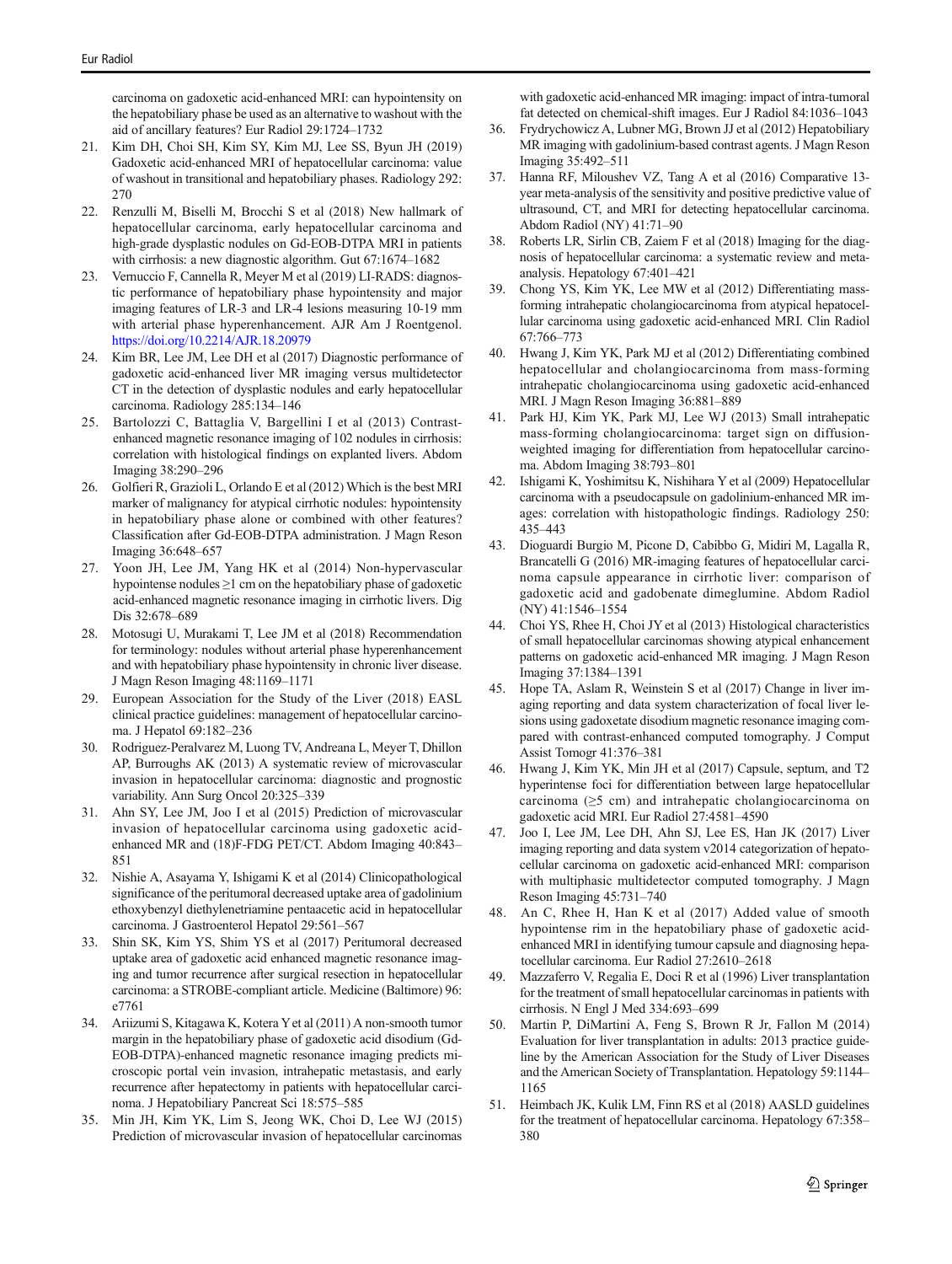<span id="page-10-0"></span>carcinoma on gadoxetic acid-enhanced MRI: can hypointensity on the hepatobiliary phase be used as an alternative to washout with the aid of ancillary features? Eur Radiol 29:1724–1732

- Kim DH, Choi SH, Kim SY, Kim MJ, Lee SS, Byun JH (2019) Gadoxetic acid-enhanced MRI of hepatocellular carcinoma: value of washout in transitional and hepatobiliary phases. Radiology 292: 270
- 22. Renzulli M, Biselli M, Brocchi S et al (2018) New hallmark of hepatocellular carcinoma, early hepatocellular carcinoma and high-grade dysplastic nodules on Gd-EOB-DTPA MRI in patients with cirrhosis: a new diagnostic algorithm. Gut 67:1674–1682
- 23. Vernuccio F, Cannella R, Meyer M et al (2019) LI-RADS: diagnostic performance of hepatobiliary phase hypointensity and major imaging features of LR-3 and LR-4 lesions measuring 10-19 mm with arterial phase hyperenhancement. AJR Am J Roentgenol. <https://doi.org/10.2214/AJR.18.20979>
- 24. Kim BR, Lee JM, Lee DH et al (2017) Diagnostic performance of gadoxetic acid-enhanced liver MR imaging versus multidetector CT in the detection of dysplastic nodules and early hepatocellular carcinoma. Radiology 285:134–146
- 25. Bartolozzi C, Battaglia V, Bargellini I et al (2013) Contrastenhanced magnetic resonance imaging of 102 nodules in cirrhosis: correlation with histological findings on explanted livers. Abdom Imaging 38:290–296
- 26. Golfieri R, Grazioli L, Orlando E et al (2012) Which is the best MRI marker of malignancy for atypical cirrhotic nodules: hypointensity in hepatobiliary phase alone or combined with other features? Classification after Gd-EOB-DTPA administration. J Magn Reson Imaging 36:648–657
- Yoon JH, Lee JM, Yang HK et al (2014) Non-hypervascular hypointense nodules ≥1 cm on the hepatobiliary phase of gadoxetic acid-enhanced magnetic resonance imaging in cirrhotic livers. Dig Dis 32:678–689
- 28. Motosugi U, Murakami T, Lee JM et al (2018) Recommendation for terminology: nodules without arterial phase hyperenhancement and with hepatobiliary phase hypointensity in chronic liver disease. J Magn Reson Imaging 48:1169–1171
- 29. European Association for the Study of the Liver (2018) EASL clinical practice guidelines: management of hepatocellular carcinoma. J Hepatol 69:182–236
- 30. Rodriguez-Peralvarez M, Luong TV, Andreana L, Meyer T, Dhillon AP, Burroughs AK (2013) A systematic review of microvascular invasion in hepatocellular carcinoma: diagnostic and prognostic variability. Ann Surg Oncol 20:325–339
- 31. Ahn SY, Lee JM, Joo I et al (2015) Prediction of microvascular invasion of hepatocellular carcinoma using gadoxetic acidenhanced MR and (18)F-FDG PET/CT. Abdom Imaging 40:843– 851
- 32. Nishie A, Asayama Y, Ishigami K et al (2014) Clinicopathological significance of the peritumoral decreased uptake area of gadolinium ethoxybenzyl diethylenetriamine pentaacetic acid in hepatocellular carcinoma. J Gastroenterol Hepatol 29:561–567
- 33. Shin SK, Kim YS, Shim YS et al (2017) Peritumoral decreased uptake area of gadoxetic acid enhanced magnetic resonance imaging and tumor recurrence after surgical resection in hepatocellular carcinoma: a STROBE-compliant article. Medicine (Baltimore) 96: e7761
- 34. Ariizumi S, Kitagawa K, Kotera Yet al (2011) A non-smooth tumor margin in the hepatobiliary phase of gadoxetic acid disodium (Gd-EOB-DTPA)-enhanced magnetic resonance imaging predicts microscopic portal vein invasion, intrahepatic metastasis, and early recurrence after hepatectomy in patients with hepatocellular carcinoma. J Hepatobiliary Pancreat Sci 18:575–585
- 35. Min JH, Kim YK, Lim S, Jeong WK, Choi D, Lee WJ (2015) Prediction of microvascular invasion of hepatocellular carcinomas

with gadoxetic acid-enhanced MR imaging: impact of intra-tumoral fat detected on chemical-shift images. Eur J Radiol 84:1036–1043

- 36. Frydrychowicz A, Lubner MG, Brown JJ et al (2012) Hepatobiliary MR imaging with gadolinium-based contrast agents. J Magn Reson Imaging 35:492–511
- 37. Hanna RF, Miloushev VZ, Tang A et al (2016) Comparative 13 year meta-analysis of the sensitivity and positive predictive value of ultrasound, CT, and MRI for detecting hepatocellular carcinoma. Abdom Radiol (NY) 41:71–90
- 38. Roberts LR, Sirlin CB, Zaiem F et al (2018) Imaging for the diagnosis of hepatocellular carcinoma: a systematic review and metaanalysis. Hepatology 67:401–421
- 39. Chong YS, Kim YK, Lee MW et al (2012) Differentiating massforming intrahepatic cholangiocarcinoma from atypical hepatocellular carcinoma using gadoxetic acid-enhanced MRI. Clin Radiol 67:766–773
- 40. Hwang J, Kim YK, Park MJ et al (2012) Differentiating combined hepatocellular and cholangiocarcinoma from mass-forming intrahepatic cholangiocarcinoma using gadoxetic acid-enhanced MRI. J Magn Reson Imaging 36:881–889
- 41. Park HJ, Kim YK, Park MJ, Lee WJ (2013) Small intrahepatic mass-forming cholangiocarcinoma: target sign on diffusionweighted imaging for differentiation from hepatocellular carcinoma. Abdom Imaging 38:793–801
- 42. Ishigami K, Yoshimitsu K, Nishihara Y et al (2009) Hepatocellular carcinoma with a pseudocapsule on gadolinium-enhanced MR images: correlation with histopathologic findings. Radiology 250: 435–443
- 43. Dioguardi Burgio M, Picone D, Cabibbo G, Midiri M, Lagalla R, Brancatelli G (2016) MR-imaging features of hepatocellular carcinoma capsule appearance in cirrhotic liver: comparison of gadoxetic acid and gadobenate dimeglumine. Abdom Radiol (NY) 41:1546–1554
- 44. Choi YS, Rhee H, Choi JY et al (2013) Histological characteristics of small hepatocellular carcinomas showing atypical enhancement patterns on gadoxetic acid-enhanced MR imaging. J Magn Reson Imaging 37:1384–1391
- 45. Hope TA, Aslam R, Weinstein S et al (2017) Change in liver imaging reporting and data system characterization of focal liver lesions using gadoxetate disodium magnetic resonance imaging compared with contrast-enhanced computed tomography. J Comput Assist Tomogr 41:376–381
- 46. Hwang J, Kim YK, Min JH et al (2017) Capsule, septum, and T2 hyperintense foci for differentiation between large hepatocellular carcinoma  $(\geq 5$  cm) and intrahepatic cholangiocarcinoma on gadoxetic acid MRI. Eur Radiol 27:4581–4590
- 47. Joo I, Lee JM, Lee DH, Ahn SJ, Lee ES, Han JK (2017) Liver imaging reporting and data system v2014 categorization of hepatocellular carcinoma on gadoxetic acid-enhanced MRI: comparison with multiphasic multidetector computed tomography. J Magn Reson Imaging 45:731–740
- 48. An C, Rhee H, Han K et al (2017) Added value of smooth hypointense rim in the hepatobiliary phase of gadoxetic acidenhanced MRI in identifying tumour capsule and diagnosing hepatocellular carcinoma. Eur Radiol 27:2610–2618
- 49. Mazzaferro V, Regalia E, Doci R et al (1996) Liver transplantation for the treatment of small hepatocellular carcinomas in patients with cirrhosis. N Engl J Med 334:693–699
- 50. Martin P, DiMartini A, Feng S, Brown R Jr, Fallon M (2014) Evaluation for liver transplantation in adults: 2013 practice guideline by the American Association for the Study of Liver Diseases and the American Society of Transplantation. Hepatology 59:1144– 1165
- 51. Heimbach JK, Kulik LM, Finn RS et al (2018) AASLD guidelines for the treatment of hepatocellular carcinoma. Hepatology 67:358– 380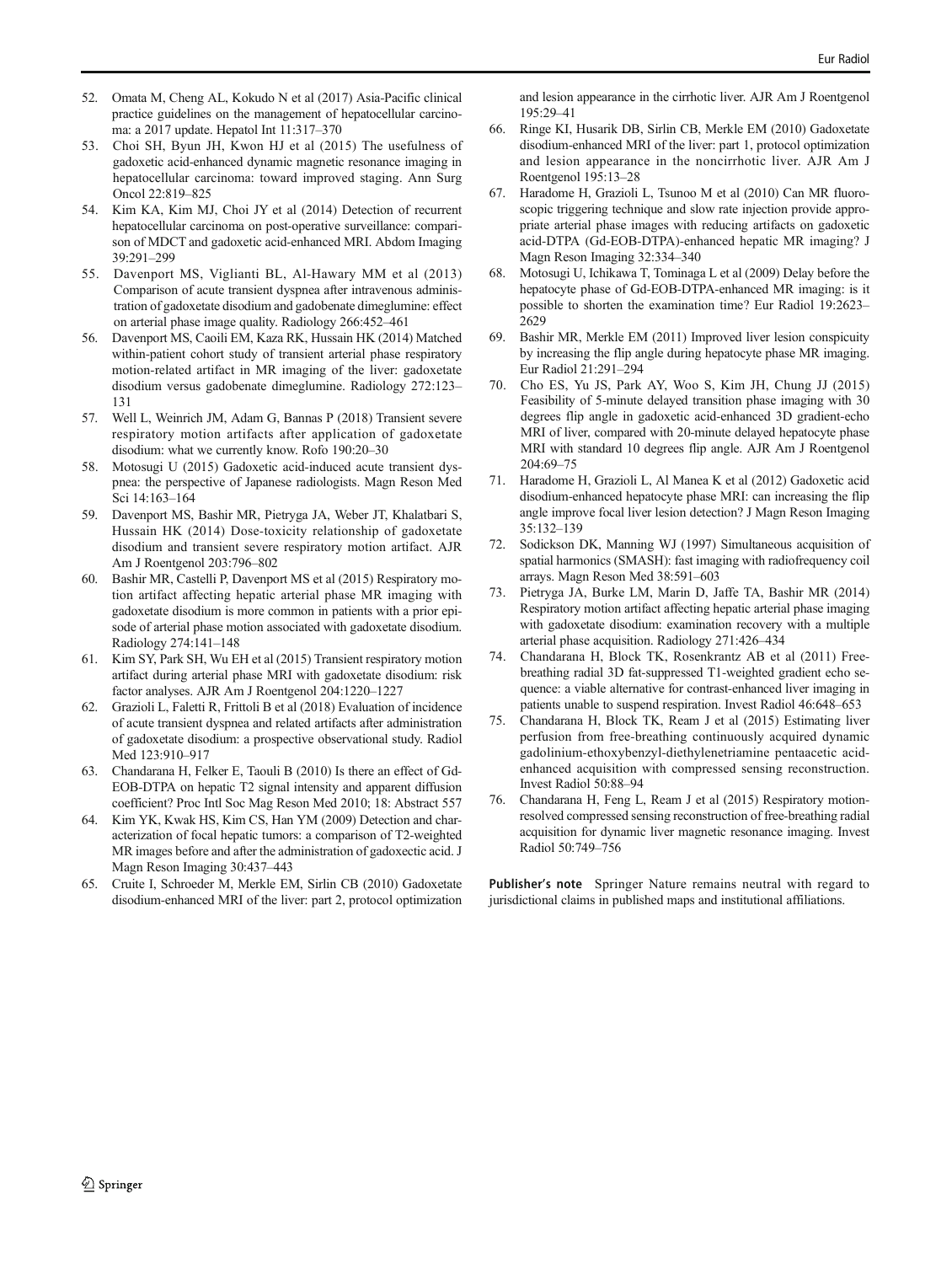- <span id="page-11-0"></span>52. Omata M, Cheng AL, Kokudo N et al (2017) Asia-Pacific clinical practice guidelines on the management of hepatocellular carcinoma: a 2017 update. Hepatol Int 11:317–370
- 53. Choi SH, Byun JH, Kwon HJ et al (2015) The usefulness of gadoxetic acid-enhanced dynamic magnetic resonance imaging in hepatocellular carcinoma: toward improved staging. Ann Surg Oncol 22:819–825
- Kim KA, Kim MJ, Choi JY et al (2014) Detection of recurrent hepatocellular carcinoma on post-operative surveillance: comparison of MDCT and gadoxetic acid-enhanced MRI. Abdom Imaging 39:291–299
- 55. Davenport MS, Viglianti BL, Al-Hawary MM et al (2013) Comparison of acute transient dyspnea after intravenous administration of gadoxetate disodium and gadobenate dimeglumine: effect on arterial phase image quality. Radiology 266:452–461
- 56. Davenport MS, Caoili EM, Kaza RK, Hussain HK (2014) Matched within-patient cohort study of transient arterial phase respiratory motion-related artifact in MR imaging of the liver: gadoxetate disodium versus gadobenate dimeglumine. Radiology 272:123– 131
- 57. Well L, Weinrich JM, Adam G, Bannas P (2018) Transient severe respiratory motion artifacts after application of gadoxetate disodium: what we currently know. Rofo 190:20–30
- 58. Motosugi U (2015) Gadoxetic acid-induced acute transient dyspnea: the perspective of Japanese radiologists. Magn Reson Med Sci 14:163–164
- 59. Davenport MS, Bashir MR, Pietryga JA, Weber JT, Khalatbari S, Hussain HK (2014) Dose-toxicity relationship of gadoxetate disodium and transient severe respiratory motion artifact. AJR Am J Roentgenol 203:796–802
- 60. Bashir MR, Castelli P, Davenport MS et al (2015) Respiratory motion artifact affecting hepatic arterial phase MR imaging with gadoxetate disodium is more common in patients with a prior episode of arterial phase motion associated with gadoxetate disodium. Radiology 274:141–148
- 61. Kim SY, Park SH, Wu EH et al (2015) Transient respiratory motion artifact during arterial phase MRI with gadoxetate disodium: risk factor analyses. AJR Am J Roentgenol 204:1220–1227
- 62. Grazioli L, Faletti R, Frittoli B et al (2018) Evaluation of incidence of acute transient dyspnea and related artifacts after administration of gadoxetate disodium: a prospective observational study. Radiol Med 123:910–917
- 63. Chandarana H, Felker E, Taouli B (2010) Is there an effect of Gd-EOB-DTPA on hepatic T2 signal intensity and apparent diffusion coefficient? Proc Intl Soc Mag Reson Med 2010; 18: Abstract 557
- 64. Kim YK, Kwak HS, Kim CS, Han YM (2009) Detection and characterization of focal hepatic tumors: a comparison of T2-weighted MR images before and after the administration of gadoxectic acid. J Magn Reson Imaging 30:437–443
- 65. Cruite I, Schroeder M, Merkle EM, Sirlin CB (2010) Gadoxetate disodium-enhanced MRI of the liver: part 2, protocol optimization

and lesion appearance in the cirrhotic liver. AJR Am J Roentgenol 195:29–41

- 66. Ringe KI, Husarik DB, Sirlin CB, Merkle EM (2010) Gadoxetate disodium-enhanced MRI of the liver: part 1, protocol optimization and lesion appearance in the noncirrhotic liver. AJR Am J Roentgenol 195:13–28
- 67. Haradome H, Grazioli L, Tsunoo M et al (2010) Can MR fluoroscopic triggering technique and slow rate injection provide appropriate arterial phase images with reducing artifacts on gadoxetic acid-DTPA (Gd-EOB-DTPA)-enhanced hepatic MR imaging? J Magn Reson Imaging 32:334–340
- 68. Motosugi U, Ichikawa T, Tominaga L et al (2009) Delay before the hepatocyte phase of Gd-EOB-DTPA-enhanced MR imaging: is it possible to shorten the examination time? Eur Radiol 19:2623– 2629
- 69. Bashir MR, Merkle EM (2011) Improved liver lesion conspicuity by increasing the flip angle during hepatocyte phase MR imaging. Eur Radiol 21:291–294
- 70. Cho ES, Yu JS, Park AY, Woo S, Kim JH, Chung JJ (2015) Feasibility of 5-minute delayed transition phase imaging with 30 degrees flip angle in gadoxetic acid-enhanced 3D gradient-echo MRI of liver, compared with 20-minute delayed hepatocyte phase MRI with standard 10 degrees flip angle. AJR Am J Roentgenol 204:69–75
- 71. Haradome H, Grazioli L, Al Manea K et al (2012) Gadoxetic acid disodium-enhanced hepatocyte phase MRI: can increasing the flip angle improve focal liver lesion detection? J Magn Reson Imaging 35:132–139
- 72. Sodickson DK, Manning WJ (1997) Simultaneous acquisition of spatial harmonics (SMASH): fast imaging with radiofrequency coil arrays. Magn Reson Med 38:591–603
- 73. Pietryga JA, Burke LM, Marin D, Jaffe TA, Bashir MR (2014) Respiratory motion artifact affecting hepatic arterial phase imaging with gadoxetate disodium: examination recovery with a multiple arterial phase acquisition. Radiology 271:426–434
- 74. Chandarana H, Block TK, Rosenkrantz AB et al (2011) Freebreathing radial 3D fat-suppressed T1-weighted gradient echo sequence: a viable alternative for contrast-enhanced liver imaging in patients unable to suspend respiration. Invest Radiol 46:648–653
- 75. Chandarana H, Block TK, Ream J et al (2015) Estimating liver perfusion from free-breathing continuously acquired dynamic gadolinium-ethoxybenzyl-diethylenetriamine pentaacetic acidenhanced acquisition with compressed sensing reconstruction. Invest Radiol 50:88–94
- 76. Chandarana H, Feng L, Ream J et al (2015) Respiratory motionresolved compressed sensing reconstruction of free-breathing radial acquisition for dynamic liver magnetic resonance imaging. Invest Radiol 50:749–756

Publisher's note Springer Nature remains neutral with regard to jurisdictional claims in published maps and institutional affiliations.